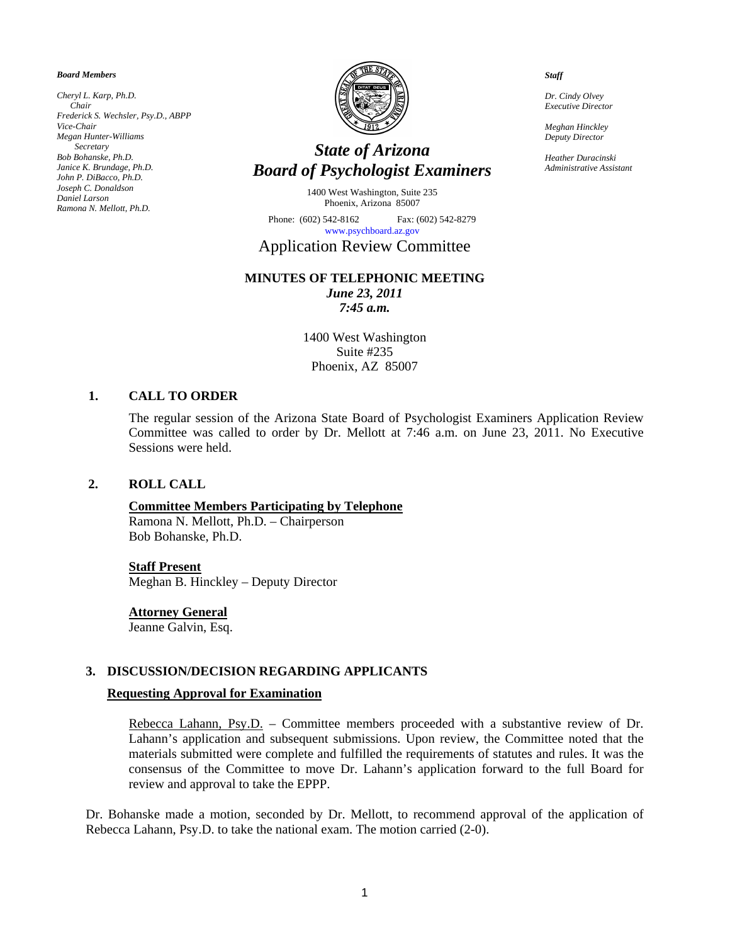*Board Members* 

*Cheryl L. Karp, Ph.D. Chair Frederick S. Wechsler, Psy.D., ABPP Vice-Chair Megan Hunter-Williams Secretary Bob Bohanske, Ph.D. Janice K. Brundage, Ph.D. John P. DiBacco, Ph.D. Joseph C. Donaldson Daniel Larson Ramona N. Mellott, Ph.D.* 



# *State of Arizona Board of Psychologist Examiners*

1400 West Washington, Suite 235 Phoenix, Arizona 85007

Phone: (602) 542-8162 Fax: (602) 542-8279 [www.psychboard.az.gov](http://www.psychboard.az.gov/) 

# Application Review Committee

#### **MINUTES OF TELEPHONIC MEETING**  *June 23, 2011*

*7:45 a.m.* 

1400 West Washington Suite #235 Phoenix, AZ 85007

### **1. CALL TO ORDER**

The regular session of the Arizona State Board of Psychologist Examiners Application Review Committee was called to order by Dr. Mellott at 7:46 a.m. on June 23, 2011. No Executive Sessions were held.

#### **2. ROLL CALL**

# **Committee Members Participating by Telephone**

Ramona N. Mellott, Ph.D. – Chairperson Bob Bohanske, Ph.D.

#### **Staff Present**

Meghan B. Hinckley – Deputy Director

#### **Attorney General**

Jeanne Galvin, Esq.

#### **3. DISCUSSION/DECISION REGARDING APPLICANTS**

#### **Requesting Approval for Examination**

Rebecca Lahann, Psy.D. - Committee members proceeded with a substantive review of Dr. Lahann's application and subsequent submissions. Upon review, the Committee noted that the materials submitted were complete and fulfilled the requirements of statutes and rules. It was the consensus of the Committee to move Dr. Lahann's application forward to the full Board for review and approval to take the EPPP.

Dr. Bohanske made a motion, seconded by Dr. Mellott, to recommend approval of the application of Rebecca Lahann, Psy.D. to take the national exam. The motion carried (2-0).

*Staff* 

*Dr. Cindy Olvey Executive Director* 

*Meghan Hinckley Deputy Director* 

*Heather Duracinski Administrative Assistant*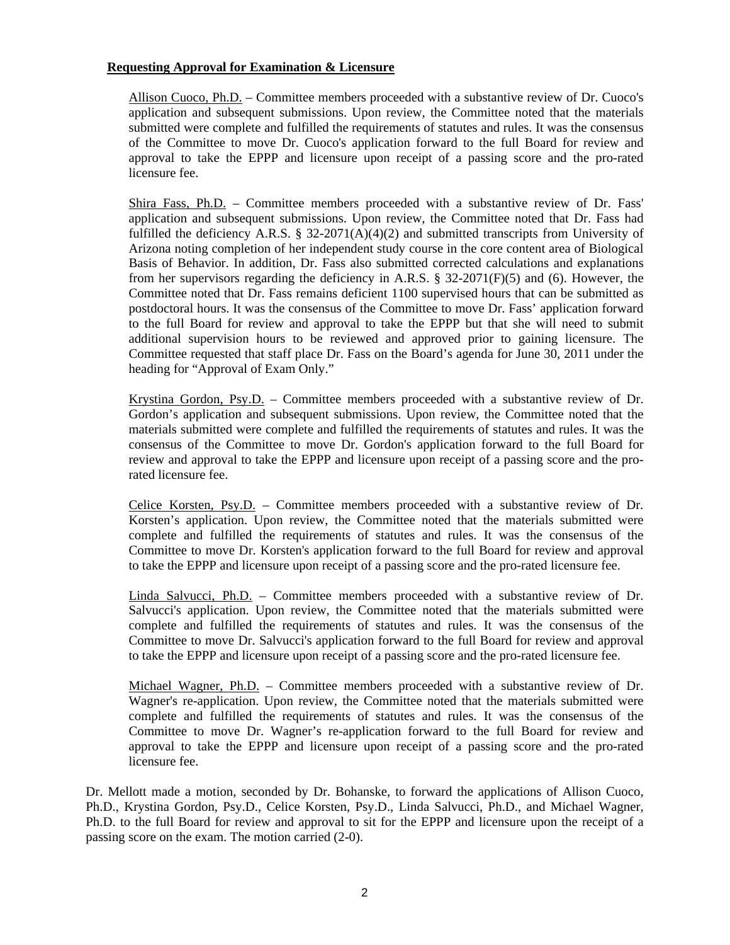### **Requesting Approval for Examination & Licensure**

Allison Cuoco, Ph.D. – Committee members proceeded with a substantive review of Dr. Cuoco's application and subsequent submissions. Upon review, the Committee noted that the materials submitted were complete and fulfilled the requirements of statutes and rules. It was the consensus of the Committee to move Dr. Cuoco's application forward to the full Board for review and approval to take the EPPP and licensure upon receipt of a passing score and the pro-rated licensure fee.

Shira Fass, Ph.D. – Committee members proceeded with a substantive review of Dr. Fass' application and subsequent submissions. Upon review, the Committee noted that Dr. Fass had fulfilled the deficiency A.R.S. § 32-2071(A)(4)(2) and submitted transcripts from University of Arizona noting completion of her independent study course in the core content area of Biological Basis of Behavior. In addition, Dr. Fass also submitted corrected calculations and explanations from her supervisors regarding the deficiency in A.R.S. § 32-2071( $F(5)$ ) and (6). However, the Committee noted that Dr. Fass remains deficient 1100 supervised hours that can be submitted as postdoctoral hours. It was the consensus of the Committee to move Dr. Fass' application forward to the full Board for review and approval to take the EPPP but that she will need to submit additional supervision hours to be reviewed and approved prior to gaining licensure. The Committee requested that staff place Dr. Fass on the Board's agenda for June 30, 2011 under the heading for "Approval of Exam Only."

Krystina Gordon, Psy.D. – Committee members proceeded with a substantive review of Dr. Gordon's application and subsequent submissions. Upon review, the Committee noted that the materials submitted were complete and fulfilled the requirements of statutes and rules. It was the consensus of the Committee to move Dr. Gordon's application forward to the full Board for review and approval to take the EPPP and licensure upon receipt of a passing score and the prorated licensure fee.

Celice Korsten, Psy.D. – Committee members proceeded with a substantive review of Dr. Korsten's application. Upon review, the Committee noted that the materials submitted were complete and fulfilled the requirements of statutes and rules. It was the consensus of the Committee to move Dr. Korsten's application forward to the full Board for review and approval to take the EPPP and licensure upon receipt of a passing score and the pro-rated licensure fee.

Linda Salvucci, Ph.D. – Committee members proceeded with a substantive review of Dr. Salvucci's application. Upon review, the Committee noted that the materials submitted were complete and fulfilled the requirements of statutes and rules. It was the consensus of the Committee to move Dr. Salvucci's application forward to the full Board for review and approval to take the EPPP and licensure upon receipt of a passing score and the pro-rated licensure fee.

Michael Wagner, Ph.D. – Committee members proceeded with a substantive review of Dr. Wagner's re-application. Upon review, the Committee noted that the materials submitted were complete and fulfilled the requirements of statutes and rules. It was the consensus of the Committee to move Dr. Wagner's re-application forward to the full Board for review and approval to take the EPPP and licensure upon receipt of a passing score and the pro-rated licensure fee.

Dr. Mellott made a motion, seconded by Dr. Bohanske, to forward the applications of Allison Cuoco, Ph.D., Krystina Gordon, Psy.D., Celice Korsten, Psy.D., Linda Salvucci, Ph.D., and Michael Wagner, Ph.D. to the full Board for review and approval to sit for the EPPP and licensure upon the receipt of a passing score on the exam. The motion carried (2-0).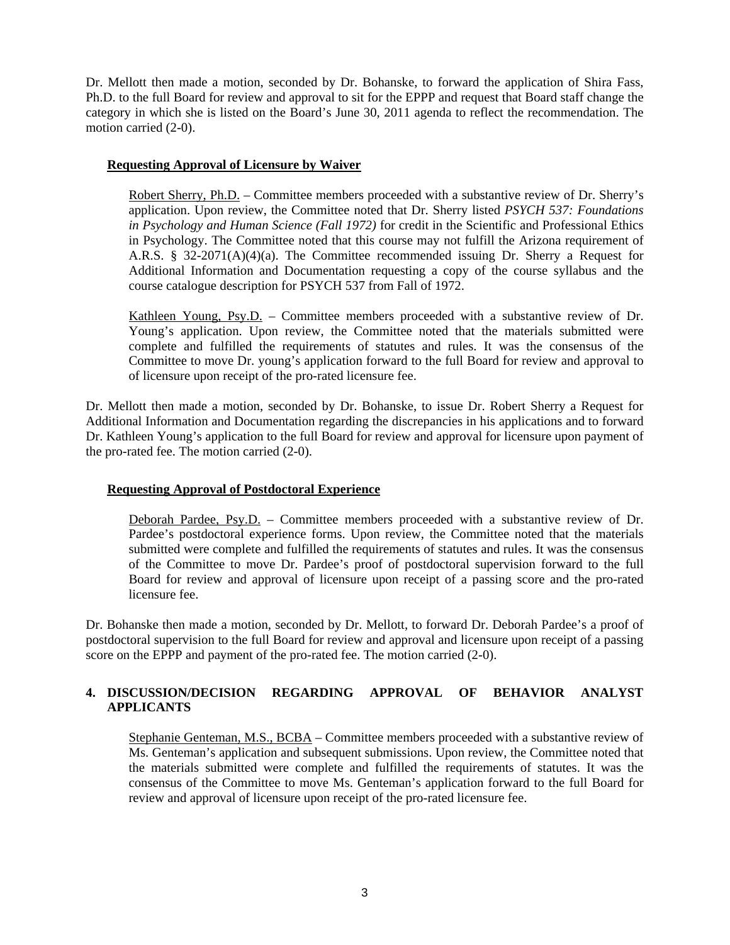Dr. Mellott then made a motion, seconded by Dr. Bohanske, to forward the application of Shira Fass, Ph.D. to the full Board for review and approval to sit for the EPPP and request that Board staff change the category in which she is listed on the Board's June 30, 2011 agenda to reflect the recommendation. The motion carried (2-0).

# **Requesting Approval of Licensure by Waiver**

Robert Sherry, Ph.D. – Committee members proceeded with a substantive review of Dr. Sherry's application. Upon review, the Committee noted that Dr. Sherry listed *PSYCH 537: Foundations in Psychology and Human Science (Fall 1972)* for credit in the Scientific and Professional Ethics in Psychology. The Committee noted that this course may not fulfill the Arizona requirement of A.R.S. § 32-2071(A)(4)(a). The Committee recommended issuing Dr. Sherry a Request for Additional Information and Documentation requesting a copy of the course syllabus and the course catalogue description for PSYCH 537 from Fall of 1972.

Kathleen Young, Psy.D. – Committee members proceeded with a substantive review of Dr. Young's application. Upon review, the Committee noted that the materials submitted were complete and fulfilled the requirements of statutes and rules. It was the consensus of the Committee to move Dr. young's application forward to the full Board for review and approval to of licensure upon receipt of the pro-rated licensure fee.

Dr. Mellott then made a motion, seconded by Dr. Bohanske, to issue Dr. Robert Sherry a Request for Additional Information and Documentation regarding the discrepancies in his applications and to forward Dr. Kathleen Young's application to the full Board for review and approval for licensure upon payment of the pro-rated fee. The motion carried (2-0).

# **Requesting Approval of Postdoctoral Experience**

Deborah Pardee, Psy.D. – Committee members proceeded with a substantive review of Dr. Pardee's postdoctoral experience forms. Upon review, the Committee noted that the materials submitted were complete and fulfilled the requirements of statutes and rules. It was the consensus of the Committee to move Dr. Pardee's proof of postdoctoral supervision forward to the full Board for review and approval of licensure upon receipt of a passing score and the pro-rated licensure fee.

Dr. Bohanske then made a motion, seconded by Dr. Mellott, to forward Dr. Deborah Pardee's a proof of postdoctoral supervision to the full Board for review and approval and licensure upon receipt of a passing score on the EPPP and payment of the pro-rated fee. The motion carried (2-0).

# **4. DISCUSSION/DECISION REGARDING APPROVAL OF BEHAVIOR ANALYST APPLICANTS**

Stephanie Genteman, M.S., BCBA – Committee members proceeded with a substantive review of Ms. Genteman's application and subsequent submissions. Upon review, the Committee noted that the materials submitted were complete and fulfilled the requirements of statutes. It was the consensus of the Committee to move Ms. Genteman's application forward to the full Board for review and approval of licensure upon receipt of the pro-rated licensure fee.